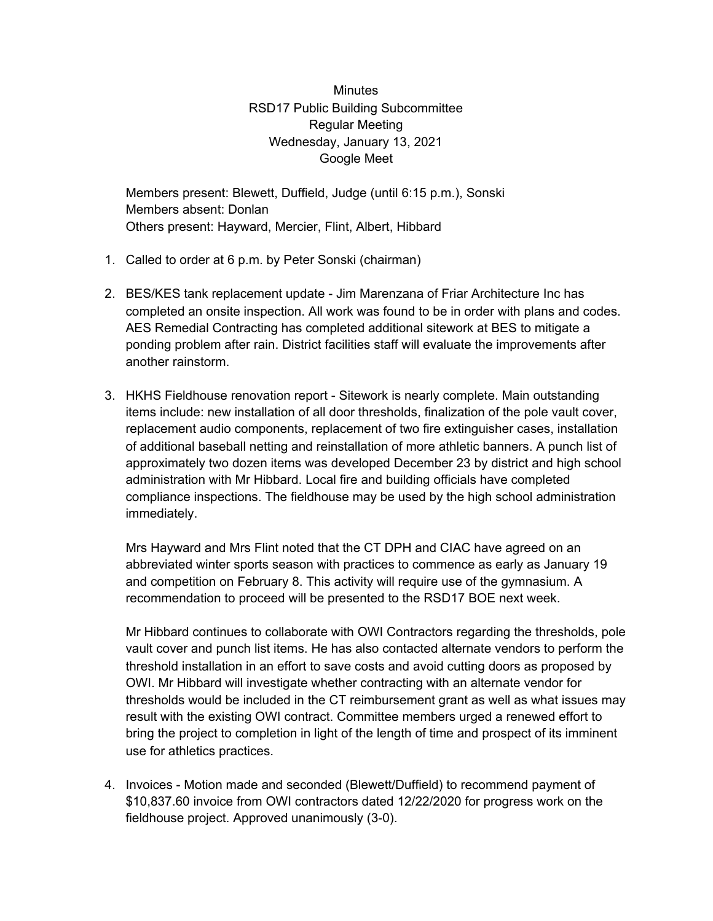## **Minutes** RSD17 Public Building Subcommittee Regular Meeting Wednesday, January 13, 2021 Google Meet

Members present: Blewett, Duffield, Judge (until 6:15 p.m.), Sonski Members absent: Donlan Others present: Hayward, Mercier, Flint, Albert, Hibbard

- 1. Called to order at 6 p.m. by Peter Sonski (chairman)
- 2. BES/KES tank replacement update Jim Marenzana of Friar Architecture Inc has completed an onsite inspection. All work was found to be in order with plans and codes. AES Remedial Contracting has completed additional sitework at BES to mitigate a ponding problem after rain. District facilities staff will evaluate the improvements after another rainstorm.
- 3. HKHS Fieldhouse renovation report Sitework is nearly complete. Main outstanding items include: new installation of all door thresholds, finalization of the pole vault cover, replacement audio components, replacement of two fire extinguisher cases, installation of additional baseball netting and reinstallation of more athletic banners. A punch list of approximately two dozen items was developed December 23 by district and high school administration with Mr Hibbard. Local fire and building officials have completed compliance inspections. The fieldhouse may be used by the high school administration immediately.

Mrs Hayward and Mrs Flint noted that the CT DPH and CIAC have agreed on an abbreviated winter sports season with practices to commence as early as January 19 and competition on February 8. This activity will require use of the gymnasium. A recommendation to proceed will be presented to the RSD17 BOE next week.

Mr Hibbard continues to collaborate with OWI Contractors regarding the thresholds, pole vault cover and punch list items. He has also contacted alternate vendors to perform the threshold installation in an effort to save costs and avoid cutting doors as proposed by OWI. Mr Hibbard will investigate whether contracting with an alternate vendor for thresholds would be included in the CT reimbursement grant as well as what issues may result with the existing OWI contract. Committee members urged a renewed effort to bring the project to completion in light of the length of time and prospect of its imminent use for athletics practices.

4. Invoices - Motion made and seconded (Blewett/Duffield) to recommend payment of \$10,837.60 invoice from OWI contractors dated 12/22/2020 for progress work on the fieldhouse project. Approved unanimously (3-0).